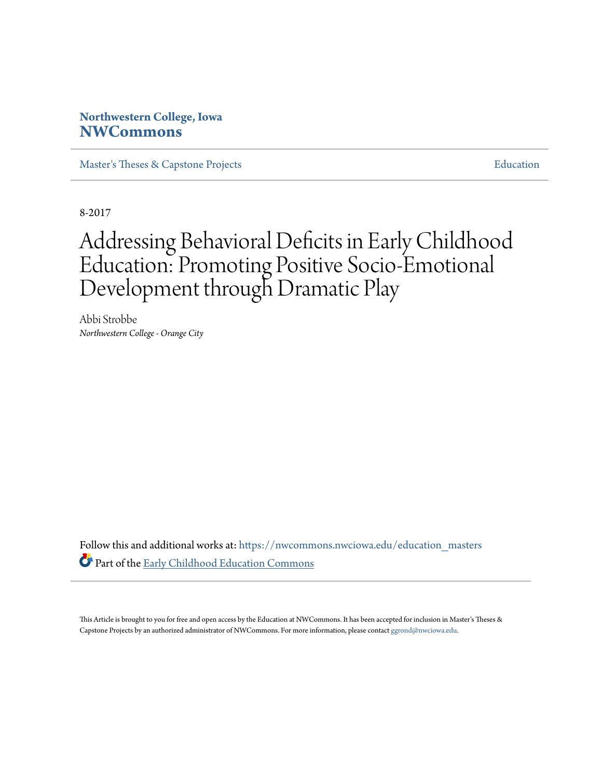# **Northwestern College, Iowa [NWCommons](https://nwcommons.nwciowa.edu?utm_source=nwcommons.nwciowa.edu%2Feducation_masters%2F47&utm_medium=PDF&utm_campaign=PDFCoverPages)**

[Master's Theses & Capstone Projects](https://nwcommons.nwciowa.edu/education_masters?utm_source=nwcommons.nwciowa.edu%2Feducation_masters%2F47&utm_medium=PDF&utm_campaign=PDFCoverPages) [Education](https://nwcommons.nwciowa.edu/education?utm_source=nwcommons.nwciowa.edu%2Feducation_masters%2F47&utm_medium=PDF&utm_campaign=PDFCoverPages)

8-2017

# Addressing Behavioral Deficits in Early Childhood Education: Promoting Positive Socio-Emotional Development through Dramatic Play

Abbi Strobbe *Northwestern College - Orange City*

Follow this and additional works at: [https://nwcommons.nwciowa.edu/education\\_masters](https://nwcommons.nwciowa.edu/education_masters?utm_source=nwcommons.nwciowa.edu%2Feducation_masters%2F47&utm_medium=PDF&utm_campaign=PDFCoverPages) Part of the [Early Childhood Education Commons](http://network.bepress.com/hgg/discipline/1377?utm_source=nwcommons.nwciowa.edu%2Feducation_masters%2F47&utm_medium=PDF&utm_campaign=PDFCoverPages)

This Article is brought to you for free and open access by the Education at NWCommons. It has been accepted for inclusion in Master's Theses & Capstone Projects by an authorized administrator of NWCommons. For more information, please contact [ggrond@nwciowa.edu.](mailto:ggrond@nwciowa.edu)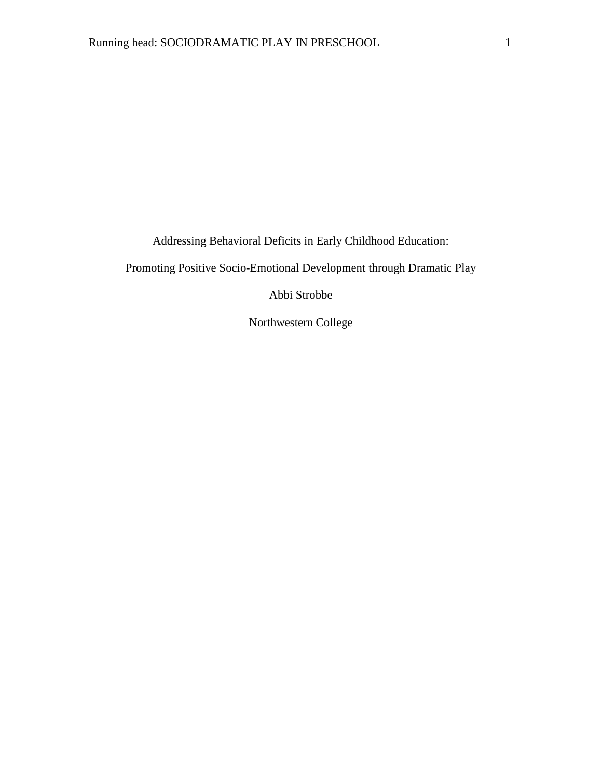Addressing Behavioral Deficits in Early Childhood Education:

Promoting Positive Socio-Emotional Development through Dramatic Play

Abbi Strobbe

Northwestern College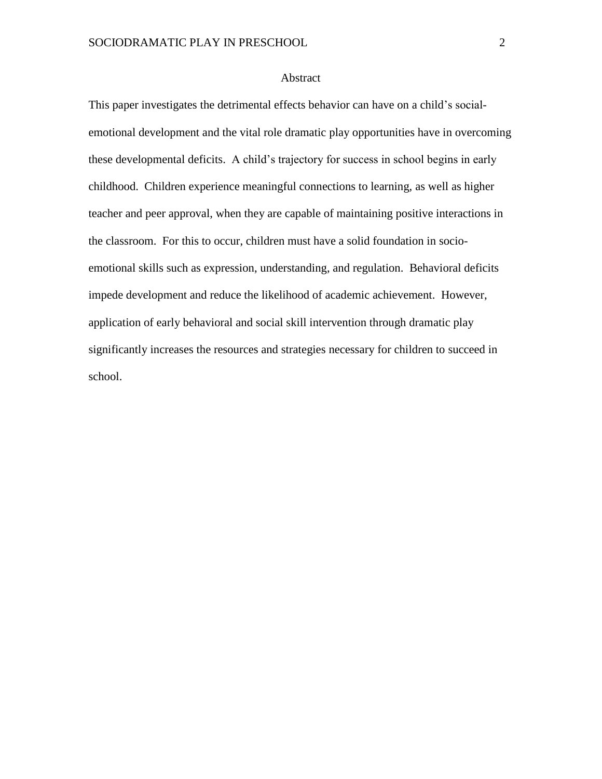# Abstract

This paper investigates the detrimental effects behavior can have on a child's socialemotional development and the vital role dramatic play opportunities have in overcoming these developmental deficits. A child's trajectory for success in school begins in early childhood. Children experience meaningful connections to learning, as well as higher teacher and peer approval, when they are capable of maintaining positive interactions in the classroom. For this to occur, children must have a solid foundation in socioemotional skills such as expression, understanding, and regulation. Behavioral deficits impede development and reduce the likelihood of academic achievement. However, application of early behavioral and social skill intervention through dramatic play significantly increases the resources and strategies necessary for children to succeed in school.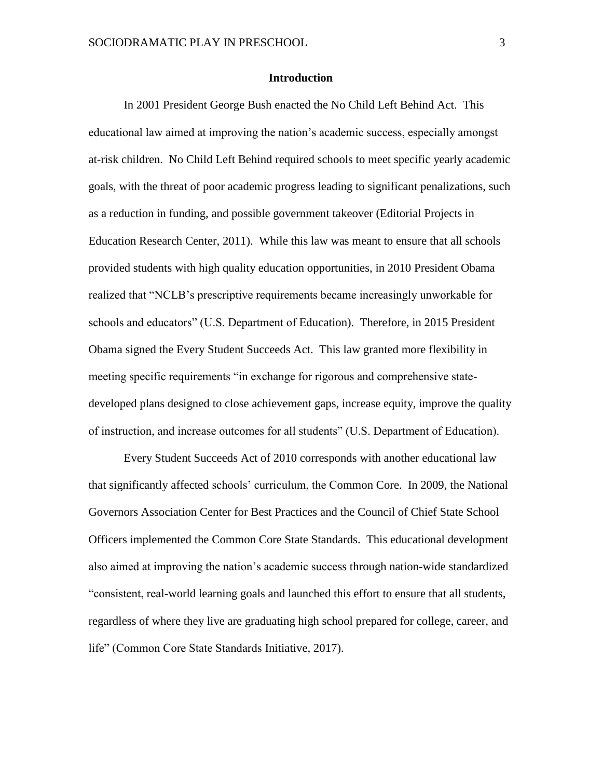# **Introduction**

In 2001 President George Bush enacted the No Child Left Behind Act. This educational law aimed at improving the nation's academic success, especially amongst at-risk children. No Child Left Behind required schools to meet specific yearly academic goals, with the threat of poor academic progress leading to significant penalizations, such as a reduction in funding, and possible government takeover (Editorial Projects in Education Research Center, 2011). While this law was meant to ensure that all schools provided students with high quality education opportunities, in 2010 President Obama realized that "NCLB's prescriptive requirements became increasingly unworkable for schools and educators" (U.S. Department of Education). Therefore, in 2015 President Obama signed the Every Student Succeeds Act. This law granted more flexibility in meeting specific requirements "in exchange for rigorous and comprehensive statedeveloped plans designed to close achievement gaps, increase equity, improve the quality of instruction, and increase outcomes for all students" (U.S. Department of Education).

Every Student Succeeds Act of 2010 corresponds with another educational law that significantly affected schools' curriculum, the Common Core. In 2009, the National Governors Association Center for Best Practices and the Council of Chief State School Officers implemented the Common Core State Standards. This educational development also aimed at improving the nation's academic success through nation-wide standardized "consistent, real-world learning goals and launched this effort to ensure that all students, regardless of where they live are graduating high school prepared for college, career, and life" (Common Core State Standards Initiative, 2017).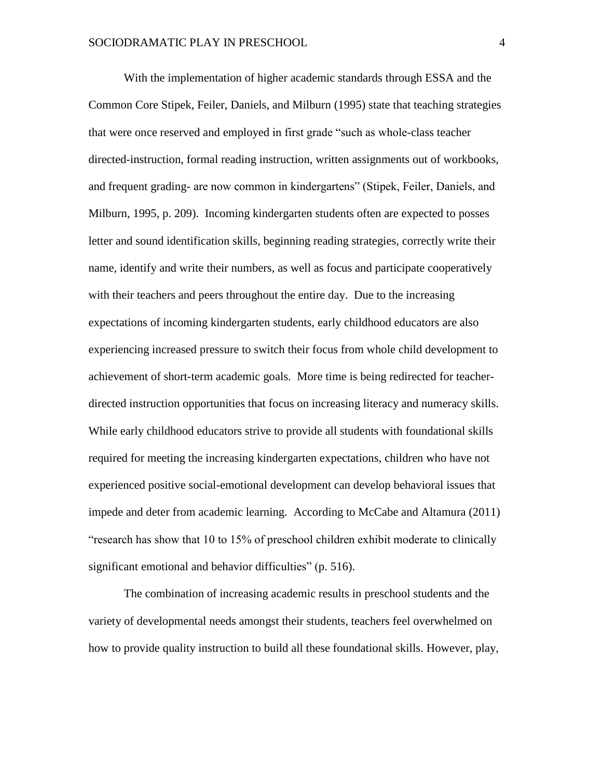With the implementation of higher academic standards through ESSA and the Common Core Stipek, Feiler, Daniels, and Milburn (1995) state that teaching strategies that were once reserved and employed in first grade "such as whole-class teacher directed-instruction, formal reading instruction, written assignments out of workbooks, and frequent grading- are now common in kindergartens" (Stipek, Feiler, Daniels, and Milburn, 1995, p. 209). Incoming kindergarten students often are expected to posses letter and sound identification skills, beginning reading strategies, correctly write their name, identify and write their numbers, as well as focus and participate cooperatively with their teachers and peers throughout the entire day. Due to the increasing expectations of incoming kindergarten students, early childhood educators are also experiencing increased pressure to switch their focus from whole child development to achievement of short-term academic goals. More time is being redirected for teacherdirected instruction opportunities that focus on increasing literacy and numeracy skills. While early childhood educators strive to provide all students with foundational skills required for meeting the increasing kindergarten expectations, children who have not experienced positive social-emotional development can develop behavioral issues that impede and deter from academic learning. According to McCabe and Altamura (2011) "research has show that 10 to 15% of preschool children exhibit moderate to clinically significant emotional and behavior difficulties" (p. 516).

The combination of increasing academic results in preschool students and the variety of developmental needs amongst their students, teachers feel overwhelmed on how to provide quality instruction to build all these foundational skills. However, play,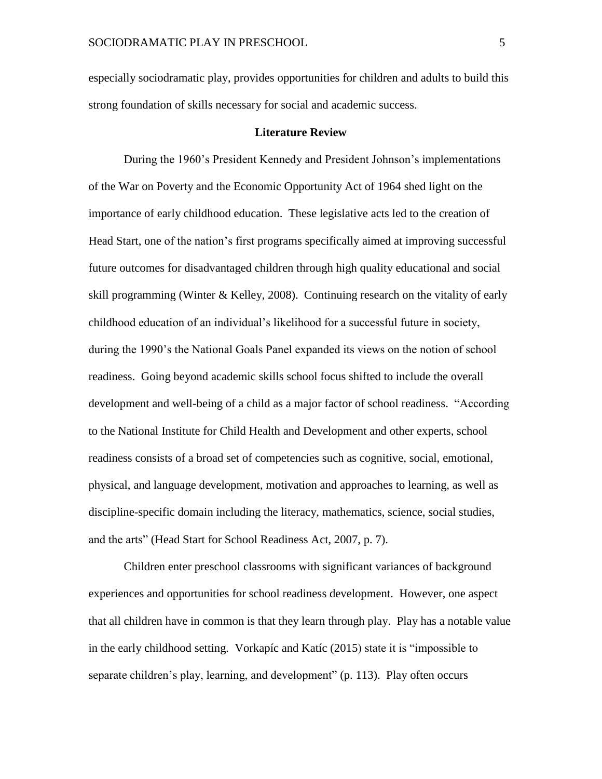especially sociodramatic play, provides opportunities for children and adults to build this strong foundation of skills necessary for social and academic success.

### **Literature Review**

During the 1960's President Kennedy and President Johnson's implementations of the War on Poverty and the Economic Opportunity Act of 1964 shed light on the importance of early childhood education. These legislative acts led to the creation of Head Start, one of the nation's first programs specifically aimed at improving successful future outcomes for disadvantaged children through high quality educational and social skill programming (Winter & Kelley, 2008). Continuing research on the vitality of early childhood education of an individual's likelihood for a successful future in society, during the 1990's the National Goals Panel expanded its views on the notion of school readiness. Going beyond academic skills school focus shifted to include the overall development and well-being of a child as a major factor of school readiness. "According to the National Institute for Child Health and Development and other experts, school readiness consists of a broad set of competencies such as cognitive, social, emotional, physical, and language development, motivation and approaches to learning, as well as discipline-specific domain including the literacy, mathematics, science, social studies, and the arts" (Head Start for School Readiness Act, 2007, p. 7).

Children enter preschool classrooms with significant variances of background experiences and opportunities for school readiness development. However, one aspect that all children have in common is that they learn through play. Play has a notable value in the early childhood setting. Vorkapíc and Katíc (2015) state it is "impossible to separate children's play, learning, and development" (p. 113). Play often occurs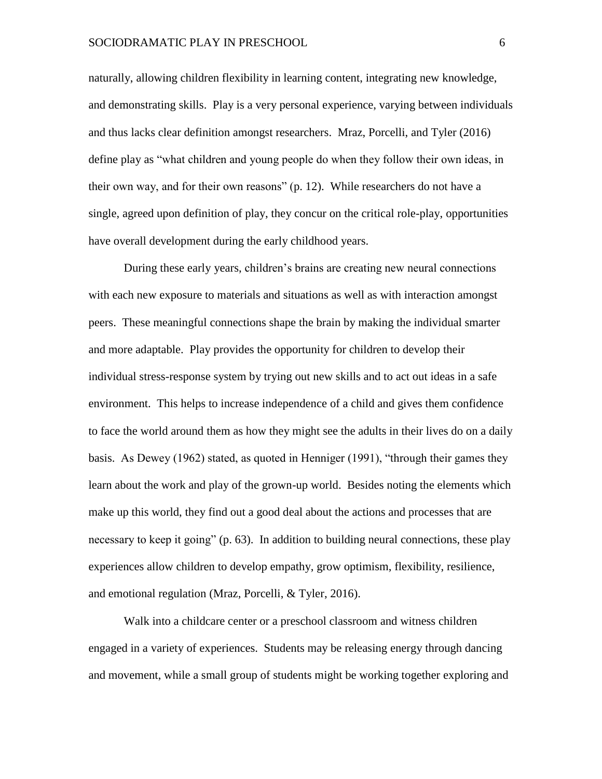naturally, allowing children flexibility in learning content, integrating new knowledge, and demonstrating skills. Play is a very personal experience, varying between individuals and thus lacks clear definition amongst researchers. Mraz, Porcelli, and Tyler (2016) define play as "what children and young people do when they follow their own ideas, in their own way, and for their own reasons" (p. 12). While researchers do not have a single, agreed upon definition of play, they concur on the critical role-play, opportunities have overall development during the early childhood years.

During these early years, children's brains are creating new neural connections with each new exposure to materials and situations as well as with interaction amongst peers. These meaningful connections shape the brain by making the individual smarter and more adaptable. Play provides the opportunity for children to develop their individual stress-response system by trying out new skills and to act out ideas in a safe environment. This helps to increase independence of a child and gives them confidence to face the world around them as how they might see the adults in their lives do on a daily basis. As Dewey (1962) stated, as quoted in Henniger (1991), "through their games they learn about the work and play of the grown-up world. Besides noting the elements which make up this world, they find out a good deal about the actions and processes that are necessary to keep it going" (p. 63). In addition to building neural connections, these play experiences allow children to develop empathy, grow optimism, flexibility, resilience, and emotional regulation (Mraz, Porcelli, & Tyler, 2016).

Walk into a childcare center or a preschool classroom and witness children engaged in a variety of experiences. Students may be releasing energy through dancing and movement, while a small group of students might be working together exploring and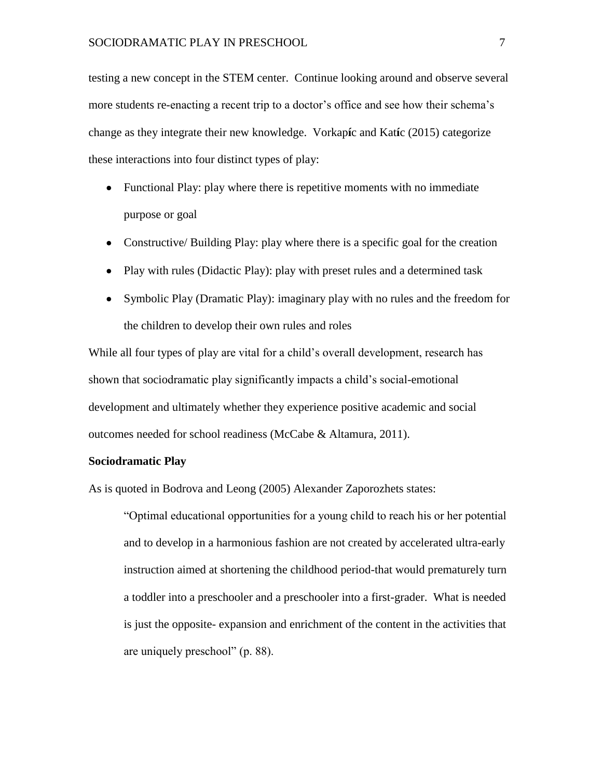testing a new concept in the STEM center. Continue looking around and observe several more students re-enacting a recent trip to a doctor's office and see how their schema's change as they integrate their new knowledge. Vorkap**í**c and Kat**í**c (2015) categorize these interactions into four distinct types of play:

- Functional Play: play where there is repetitive moments with no immediate purpose or goal
- Constructive/ Building Play: play where there is a specific goal for the creation
- Play with rules (Didactic Play): play with preset rules and a determined task
- Symbolic Play (Dramatic Play): imaginary play with no rules and the freedom for the children to develop their own rules and roles

While all four types of play are vital for a child's overall development, research has shown that sociodramatic play significantly impacts a child's social-emotional development and ultimately whether they experience positive academic and social outcomes needed for school readiness (McCabe & Altamura, 2011).

# **Sociodramatic Play**

As is quoted in Bodrova and Leong (2005) Alexander Zaporozhets states:

"Optimal educational opportunities for a young child to reach his or her potential and to develop in a harmonious fashion are not created by accelerated ultra-early instruction aimed at shortening the childhood period-that would prematurely turn a toddler into a preschooler and a preschooler into a first-grader. What is needed is just the opposite- expansion and enrichment of the content in the activities that are uniquely preschool" (p. 88).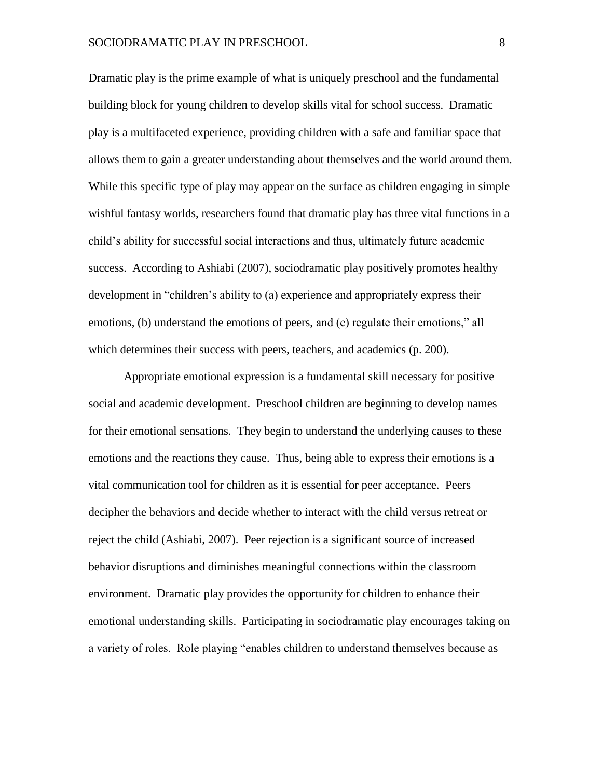Dramatic play is the prime example of what is uniquely preschool and the fundamental building block for young children to develop skills vital for school success. Dramatic play is a multifaceted experience, providing children with a safe and familiar space that allows them to gain a greater understanding about themselves and the world around them. While this specific type of play may appear on the surface as children engaging in simple wishful fantasy worlds, researchers found that dramatic play has three vital functions in a child's ability for successful social interactions and thus, ultimately future academic success. According to Ashiabi (2007), sociodramatic play positively promotes healthy development in "children's ability to (a) experience and appropriately express their emotions, (b) understand the emotions of peers, and (c) regulate their emotions," all which determines their success with peers, teachers, and academics (p. 200).

Appropriate emotional expression is a fundamental skill necessary for positive social and academic development. Preschool children are beginning to develop names for their emotional sensations. They begin to understand the underlying causes to these emotions and the reactions they cause. Thus, being able to express their emotions is a vital communication tool for children as it is essential for peer acceptance. Peers decipher the behaviors and decide whether to interact with the child versus retreat or reject the child (Ashiabi, 2007). Peer rejection is a significant source of increased behavior disruptions and diminishes meaningful connections within the classroom environment. Dramatic play provides the opportunity for children to enhance their emotional understanding skills. Participating in sociodramatic play encourages taking on a variety of roles. Role playing "enables children to understand themselves because as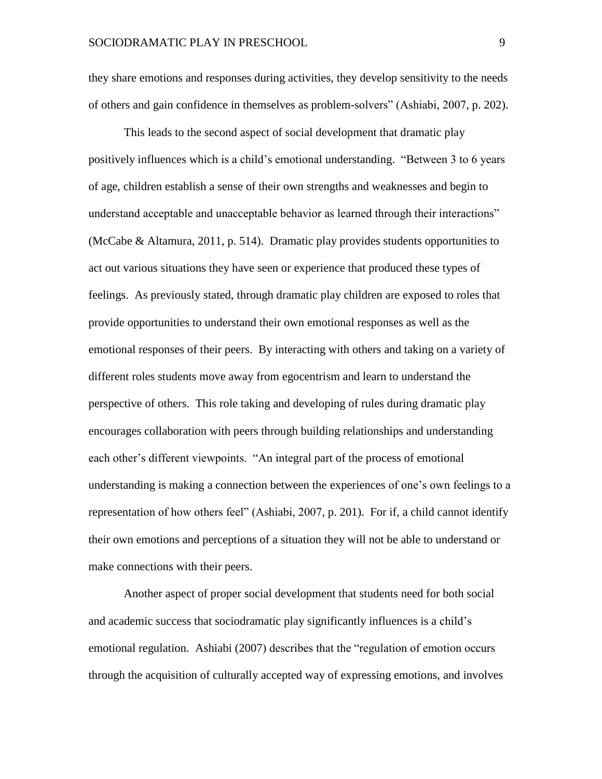they share emotions and responses during activities, they develop sensitivity to the needs of others and gain confidence in themselves as problem-solvers" (Ashiabi, 2007, p. 202).

This leads to the second aspect of social development that dramatic play positively influences which is a child's emotional understanding. "Between 3 to 6 years of age, children establish a sense of their own strengths and weaknesses and begin to understand acceptable and unacceptable behavior as learned through their interactions" (McCabe & Altamura, 2011, p. 514). Dramatic play provides students opportunities to act out various situations they have seen or experience that produced these types of feelings. As previously stated, through dramatic play children are exposed to roles that provide opportunities to understand their own emotional responses as well as the emotional responses of their peers. By interacting with others and taking on a variety of different roles students move away from egocentrism and learn to understand the perspective of others. This role taking and developing of rules during dramatic play encourages collaboration with peers through building relationships and understanding each other's different viewpoints. "An integral part of the process of emotional understanding is making a connection between the experiences of one's own feelings to a representation of how others feel" (Ashiabi, 2007, p. 201). For if, a child cannot identify their own emotions and perceptions of a situation they will not be able to understand or make connections with their peers.

Another aspect of proper social development that students need for both social and academic success that sociodramatic play significantly influences is a child's emotional regulation. Ashiabi (2007) describes that the "regulation of emotion occurs through the acquisition of culturally accepted way of expressing emotions, and involves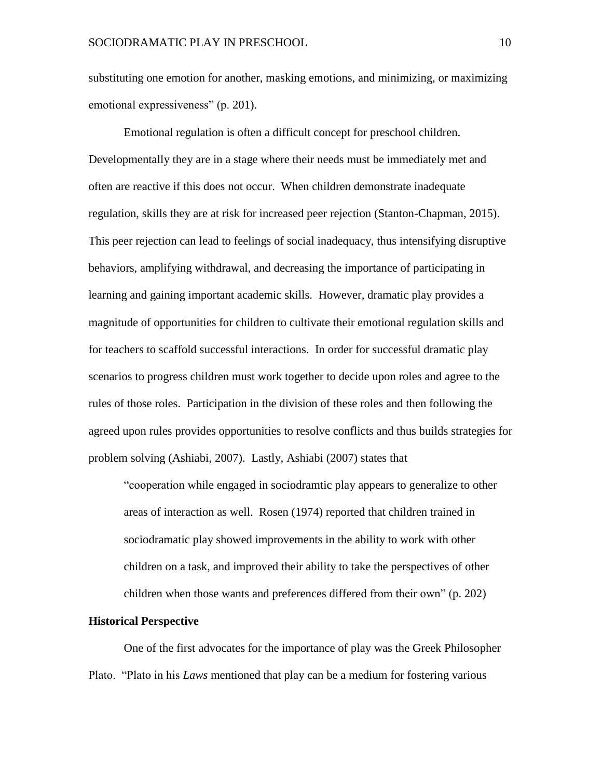substituting one emotion for another, masking emotions, and minimizing, or maximizing emotional expressiveness" (p. 201).

Emotional regulation is often a difficult concept for preschool children. Developmentally they are in a stage where their needs must be immediately met and often are reactive if this does not occur. When children demonstrate inadequate regulation, skills they are at risk for increased peer rejection (Stanton-Chapman, 2015). This peer rejection can lead to feelings of social inadequacy, thus intensifying disruptive behaviors, amplifying withdrawal, and decreasing the importance of participating in learning and gaining important academic skills. However, dramatic play provides a magnitude of opportunities for children to cultivate their emotional regulation skills and for teachers to scaffold successful interactions. In order for successful dramatic play scenarios to progress children must work together to decide upon roles and agree to the rules of those roles. Participation in the division of these roles and then following the agreed upon rules provides opportunities to resolve conflicts and thus builds strategies for problem solving (Ashiabi, 2007). Lastly, Ashiabi (2007) states that

"cooperation while engaged in sociodramtic play appears to generalize to other areas of interaction as well. Rosen (1974) reported that children trained in sociodramatic play showed improvements in the ability to work with other children on a task, and improved their ability to take the perspectives of other children when those wants and preferences differed from their own" (p. 202)

#### **Historical Perspective**

One of the first advocates for the importance of play was the Greek Philosopher Plato. "Plato in his *Laws* mentioned that play can be a medium for fostering various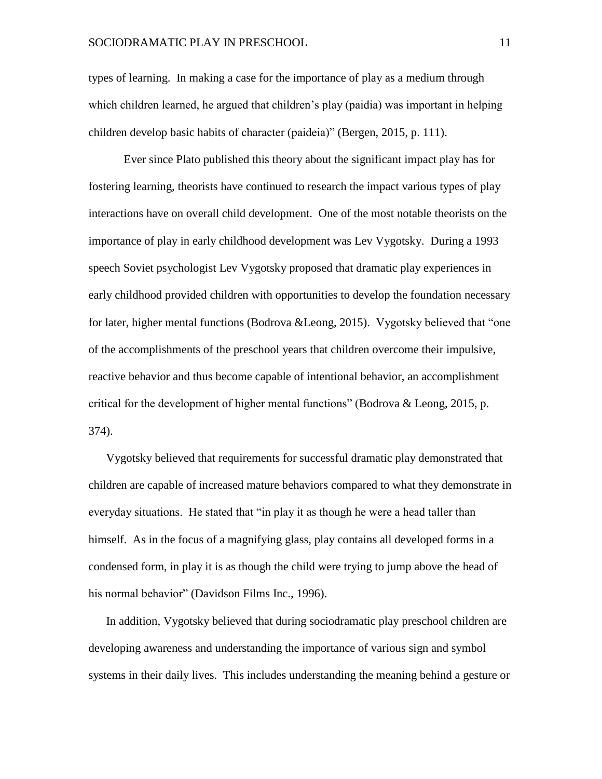# SOCIODRAMATIC PLAY IN PRESCHOOL 11

types of learning. In making a case for the importance of play as a medium through which children learned, he argued that children's play (paidia) was important in helping children develop basic habits of character (paideia)" (Bergen, 2015, p. 111).

Ever since Plato published this theory about the significant impact play has for fostering learning, theorists have continued to research the impact various types of play interactions have on overall child development. One of the most notable theorists on the importance of play in early childhood development was Lev Vygotsky. During a 1993 speech Soviet psychologist Lev Vygotsky proposed that dramatic play experiences in early childhood provided children with opportunities to develop the foundation necessary for later, higher mental functions (Bodrova &Leong, 2015). Vygotsky believed that "one of the accomplishments of the preschool years that children overcome their impulsive, reactive behavior and thus become capable of intentional behavior, an accomplishment critical for the development of higher mental functions" (Bodrova & Leong, 2015, p. 374).

Vygotsky believed that requirements for successful dramatic play demonstrated that children are capable of increased mature behaviors compared to what they demonstrate in everyday situations. He stated that "in play it as though he were a head taller than himself. As in the focus of a magnifying glass, play contains all developed forms in a condensed form, in play it is as though the child were trying to jump above the head of his normal behavior" (Davidson Films Inc., 1996).

In addition, Vygotsky believed that during sociodramatic play preschool children are developing awareness and understanding the importance of various sign and symbol systems in their daily lives. This includes understanding the meaning behind a gesture or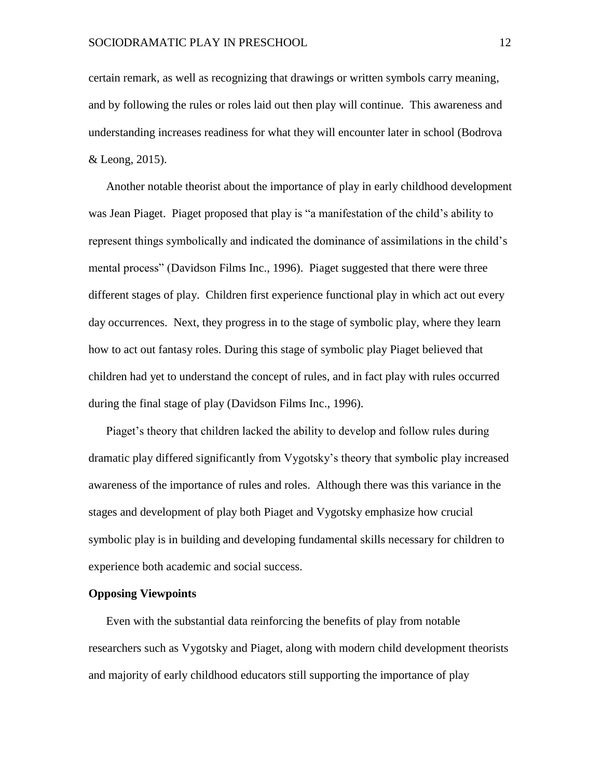certain remark, as well as recognizing that drawings or written symbols carry meaning, and by following the rules or roles laid out then play will continue. This awareness and understanding increases readiness for what they will encounter later in school (Bodrova & Leong, 2015).

Another notable theorist about the importance of play in early childhood development was Jean Piaget. Piaget proposed that play is "a manifestation of the child's ability to represent things symbolically and indicated the dominance of assimilations in the child's mental process" (Davidson Films Inc., 1996). Piaget suggested that there were three different stages of play. Children first experience functional play in which act out every day occurrences. Next, they progress in to the stage of symbolic play, where they learn how to act out fantasy roles. During this stage of symbolic play Piaget believed that children had yet to understand the concept of rules, and in fact play with rules occurred during the final stage of play (Davidson Films Inc., 1996).

Piaget's theory that children lacked the ability to develop and follow rules during dramatic play differed significantly from Vygotsky's theory that symbolic play increased awareness of the importance of rules and roles. Although there was this variance in the stages and development of play both Piaget and Vygotsky emphasize how crucial symbolic play is in building and developing fundamental skills necessary for children to experience both academic and social success.

# **Opposing Viewpoints**

Even with the substantial data reinforcing the benefits of play from notable researchers such as Vygotsky and Piaget, along with modern child development theorists and majority of early childhood educators still supporting the importance of play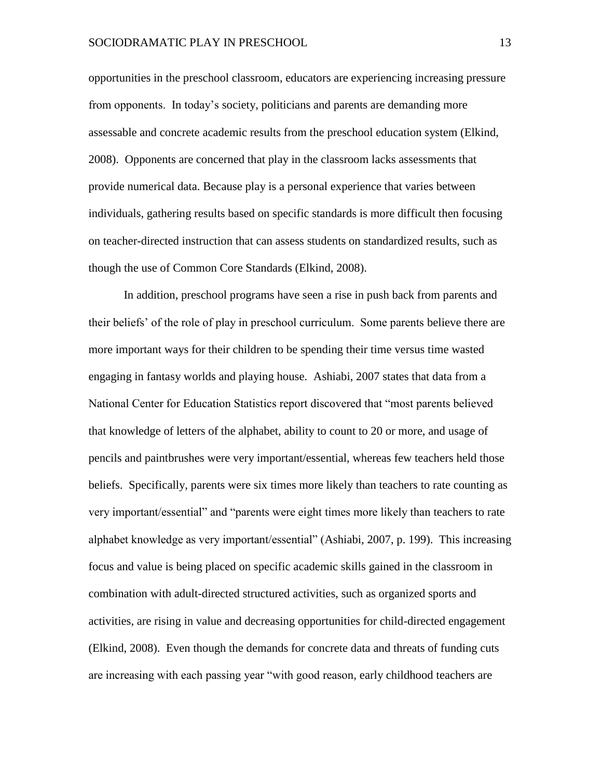opportunities in the preschool classroom, educators are experiencing increasing pressure from opponents. In today's society, politicians and parents are demanding more assessable and concrete academic results from the preschool education system (Elkind, 2008). Opponents are concerned that play in the classroom lacks assessments that provide numerical data. Because play is a personal experience that varies between individuals, gathering results based on specific standards is more difficult then focusing on teacher-directed instruction that can assess students on standardized results, such as though the use of Common Core Standards (Elkind, 2008).

In addition, preschool programs have seen a rise in push back from parents and their beliefs' of the role of play in preschool curriculum. Some parents believe there are more important ways for their children to be spending their time versus time wasted engaging in fantasy worlds and playing house. Ashiabi, 2007 states that data from a National Center for Education Statistics report discovered that "most parents believed that knowledge of letters of the alphabet, ability to count to 20 or more, and usage of pencils and paintbrushes were very important/essential, whereas few teachers held those beliefs. Specifically, parents were six times more likely than teachers to rate counting as very important/essential" and "parents were eight times more likely than teachers to rate alphabet knowledge as very important/essential" (Ashiabi, 2007, p. 199). This increasing focus and value is being placed on specific academic skills gained in the classroom in combination with adult-directed structured activities, such as organized sports and activities, are rising in value and decreasing opportunities for child-directed engagement (Elkind, 2008). Even though the demands for concrete data and threats of funding cuts are increasing with each passing year "with good reason, early childhood teachers are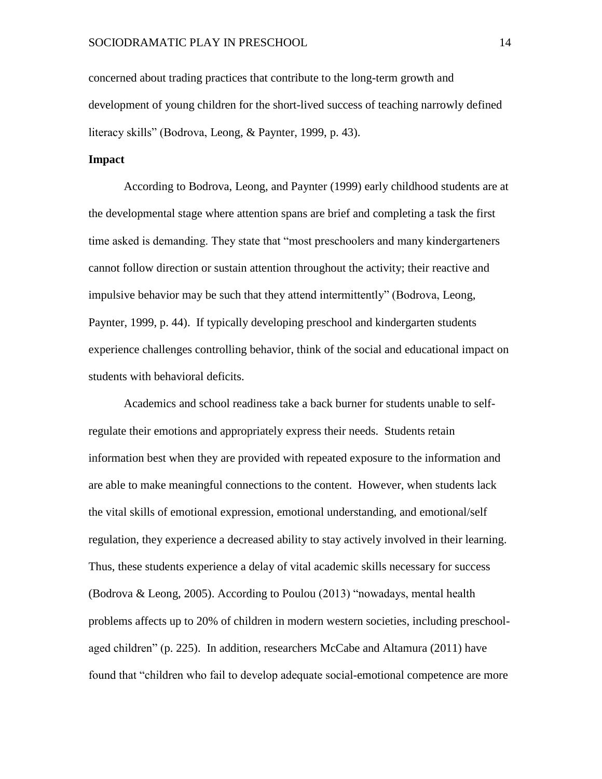concerned about trading practices that contribute to the long-term growth and development of young children for the short-lived success of teaching narrowly defined literacy skills" (Bodrova, Leong, & Paynter, 1999, p. 43).

# **Impact**

According to Bodrova, Leong, and Paynter (1999) early childhood students are at the developmental stage where attention spans are brief and completing a task the first time asked is demanding. They state that "most preschoolers and many kindergarteners cannot follow direction or sustain attention throughout the activity; their reactive and impulsive behavior may be such that they attend intermittently" (Bodrova, Leong, Paynter, 1999, p. 44). If typically developing preschool and kindergarten students experience challenges controlling behavior, think of the social and educational impact on students with behavioral deficits.

Academics and school readiness take a back burner for students unable to selfregulate their emotions and appropriately express their needs. Students retain information best when they are provided with repeated exposure to the information and are able to make meaningful connections to the content. However, when students lack the vital skills of emotional expression, emotional understanding, and emotional/self regulation, they experience a decreased ability to stay actively involved in their learning. Thus, these students experience a delay of vital academic skills necessary for success (Bodrova & Leong, 2005). According to Poulou (2013) "nowadays, mental health problems affects up to 20% of children in modern western societies, including preschoolaged children" (p. 225). In addition, researchers McCabe and Altamura (2011) have found that "children who fail to develop adequate social-emotional competence are more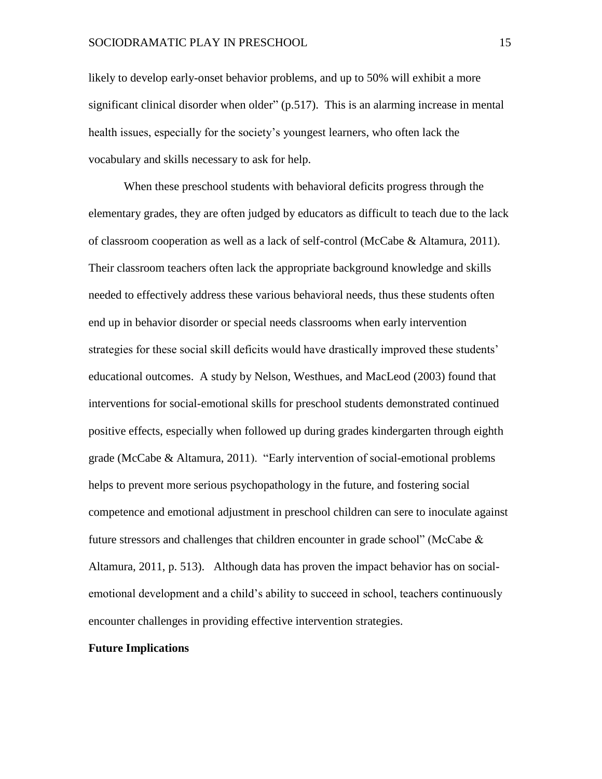likely to develop early-onset behavior problems, and up to 50% will exhibit a more significant clinical disorder when older" (p.517). This is an alarming increase in mental health issues, especially for the society's youngest learners, who often lack the vocabulary and skills necessary to ask for help.

When these preschool students with behavioral deficits progress through the elementary grades, they are often judged by educators as difficult to teach due to the lack of classroom cooperation as well as a lack of self-control (McCabe & Altamura, 2011). Their classroom teachers often lack the appropriate background knowledge and skills needed to effectively address these various behavioral needs, thus these students often end up in behavior disorder or special needs classrooms when early intervention strategies for these social skill deficits would have drastically improved these students' educational outcomes. A study by Nelson, Westhues, and MacLeod (2003) found that interventions for social-emotional skills for preschool students demonstrated continued positive effects, especially when followed up during grades kindergarten through eighth grade (McCabe & Altamura, 2011). "Early intervention of social-emotional problems helps to prevent more serious psychopathology in the future, and fostering social competence and emotional adjustment in preschool children can sere to inoculate against future stressors and challenges that children encounter in grade school" (McCabe  $\&$ Altamura, 2011, p. 513). Although data has proven the impact behavior has on socialemotional development and a child's ability to succeed in school, teachers continuously encounter challenges in providing effective intervention strategies.

# **Future Implications**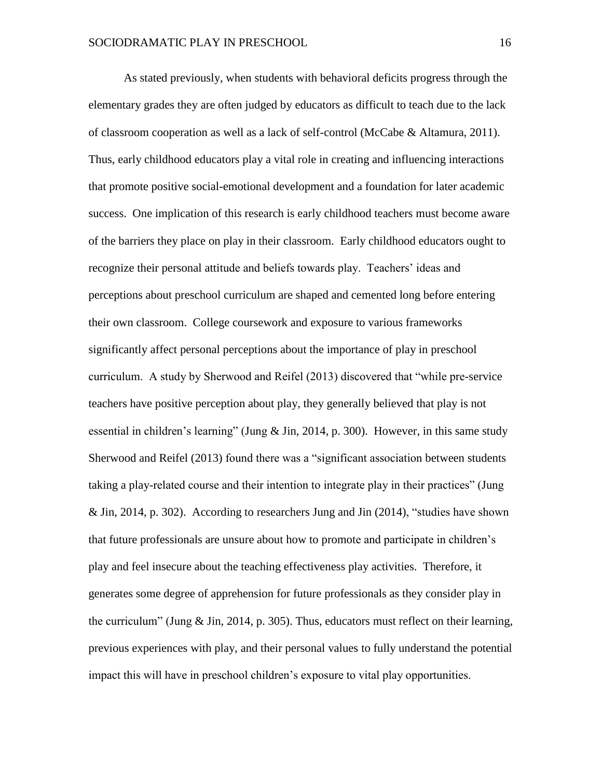As stated previously, when students with behavioral deficits progress through the elementary grades they are often judged by educators as difficult to teach due to the lack of classroom cooperation as well as a lack of self-control (McCabe & Altamura, 2011). Thus, early childhood educators play a vital role in creating and influencing interactions that promote positive social-emotional development and a foundation for later academic success. One implication of this research is early childhood teachers must become aware of the barriers they place on play in their classroom. Early childhood educators ought to recognize their personal attitude and beliefs towards play. Teachers' ideas and perceptions about preschool curriculum are shaped and cemented long before entering their own classroom. College coursework and exposure to various frameworks significantly affect personal perceptions about the importance of play in preschool curriculum. A study by Sherwood and Reifel (2013) discovered that "while pre-service teachers have positive perception about play, they generally believed that play is not essential in children's learning" (Jung & Jin, 2014, p. 300). However, in this same study Sherwood and Reifel (2013) found there was a "significant association between students taking a play-related course and their intention to integrate play in their practices" (Jung & Jin, 2014, p. 302). According to researchers Jung and Jin (2014), "studies have shown that future professionals are unsure about how to promote and participate in children's play and feel insecure about the teaching effectiveness play activities. Therefore, it generates some degree of apprehension for future professionals as they consider play in the curriculum" (Jung & Jin, 2014, p. 305). Thus, educators must reflect on their learning, previous experiences with play, and their personal values to fully understand the potential impact this will have in preschool children's exposure to vital play opportunities.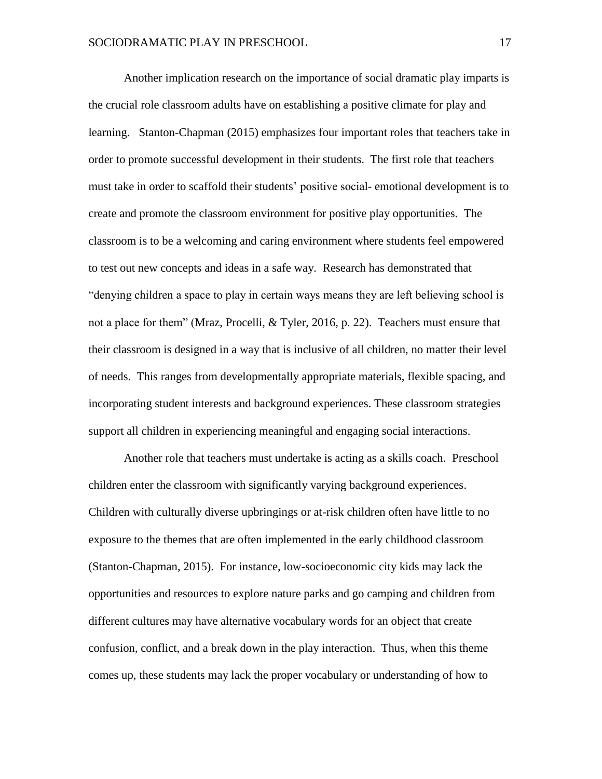Another implication research on the importance of social dramatic play imparts is the crucial role classroom adults have on establishing a positive climate for play and learning. Stanton-Chapman (2015) emphasizes four important roles that teachers take in order to promote successful development in their students. The first role that teachers must take in order to scaffold their students' positive social- emotional development is to create and promote the classroom environment for positive play opportunities. The classroom is to be a welcoming and caring environment where students feel empowered to test out new concepts and ideas in a safe way. Research has demonstrated that "denying children a space to play in certain ways means they are left believing school is not a place for them" (Mraz, Procelli, & Tyler, 2016, p. 22). Teachers must ensure that their classroom is designed in a way that is inclusive of all children, no matter their level of needs. This ranges from developmentally appropriate materials, flexible spacing, and incorporating student interests and background experiences. These classroom strategies support all children in experiencing meaningful and engaging social interactions.

Another role that teachers must undertake is acting as a skills coach. Preschool children enter the classroom with significantly varying background experiences. Children with culturally diverse upbringings or at-risk children often have little to no exposure to the themes that are often implemented in the early childhood classroom (Stanton-Chapman, 2015). For instance, low-socioeconomic city kids may lack the opportunities and resources to explore nature parks and go camping and children from different cultures may have alternative vocabulary words for an object that create confusion, conflict, and a break down in the play interaction. Thus, when this theme comes up, these students may lack the proper vocabulary or understanding of how to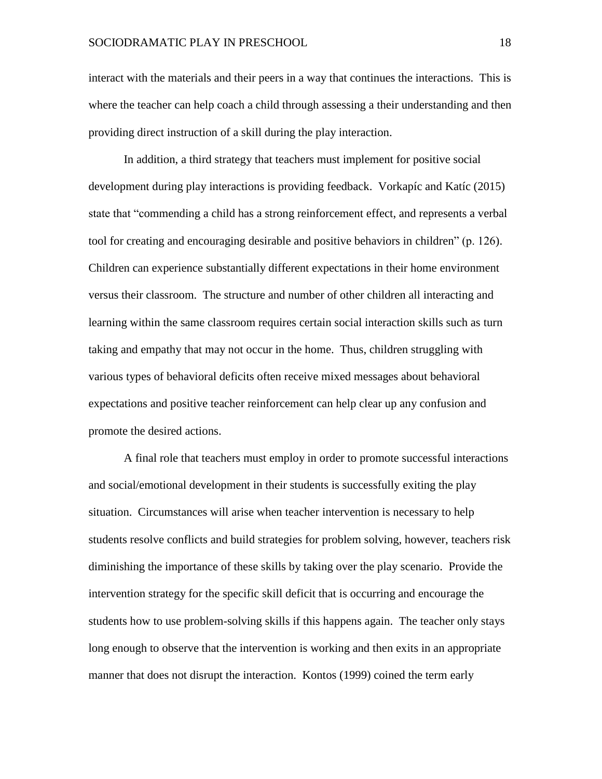interact with the materials and their peers in a way that continues the interactions. This is where the teacher can help coach a child through assessing a their understanding and then providing direct instruction of a skill during the play interaction.

In addition, a third strategy that teachers must implement for positive social development during play interactions is providing feedback. Vorkapíc and Katíc (2015) state that "commending a child has a strong reinforcement effect, and represents a verbal tool for creating and encouraging desirable and positive behaviors in children" (p. 126). Children can experience substantially different expectations in their home environment versus their classroom. The structure and number of other children all interacting and learning within the same classroom requires certain social interaction skills such as turn taking and empathy that may not occur in the home. Thus, children struggling with various types of behavioral deficits often receive mixed messages about behavioral expectations and positive teacher reinforcement can help clear up any confusion and promote the desired actions.

A final role that teachers must employ in order to promote successful interactions and social/emotional development in their students is successfully exiting the play situation. Circumstances will arise when teacher intervention is necessary to help students resolve conflicts and build strategies for problem solving, however, teachers risk diminishing the importance of these skills by taking over the play scenario. Provide the intervention strategy for the specific skill deficit that is occurring and encourage the students how to use problem-solving skills if this happens again. The teacher only stays long enough to observe that the intervention is working and then exits in an appropriate manner that does not disrupt the interaction. Kontos (1999) coined the term early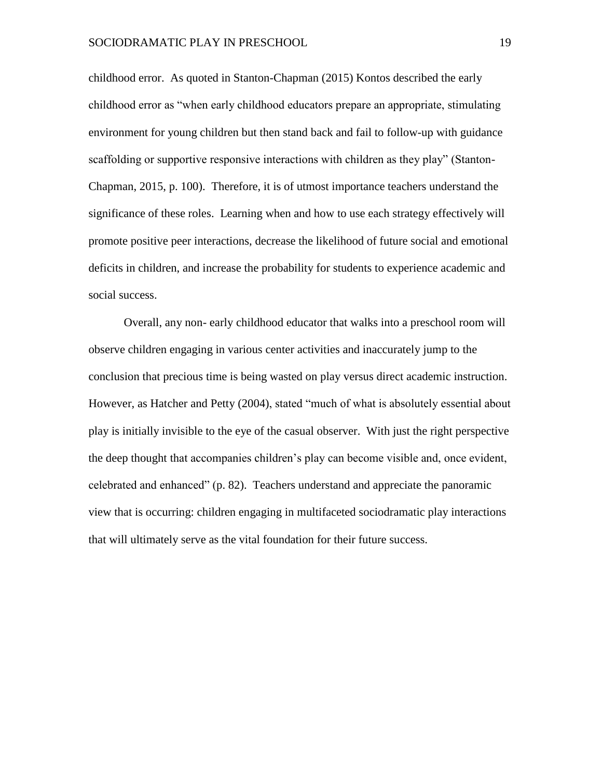childhood error. As quoted in Stanton-Chapman (2015) Kontos described the early childhood error as "when early childhood educators prepare an appropriate, stimulating environment for young children but then stand back and fail to follow-up with guidance scaffolding or supportive responsive interactions with children as they play" (Stanton-Chapman, 2015, p. 100). Therefore, it is of utmost importance teachers understand the significance of these roles. Learning when and how to use each strategy effectively will promote positive peer interactions, decrease the likelihood of future social and emotional deficits in children, and increase the probability for students to experience academic and social success.

Overall, any non- early childhood educator that walks into a preschool room will observe children engaging in various center activities and inaccurately jump to the conclusion that precious time is being wasted on play versus direct academic instruction. However, as Hatcher and Petty (2004), stated "much of what is absolutely essential about play is initially invisible to the eye of the casual observer. With just the right perspective the deep thought that accompanies children's play can become visible and, once evident, celebrated and enhanced" (p. 82). Teachers understand and appreciate the panoramic view that is occurring: children engaging in multifaceted sociodramatic play interactions that will ultimately serve as the vital foundation for their future success.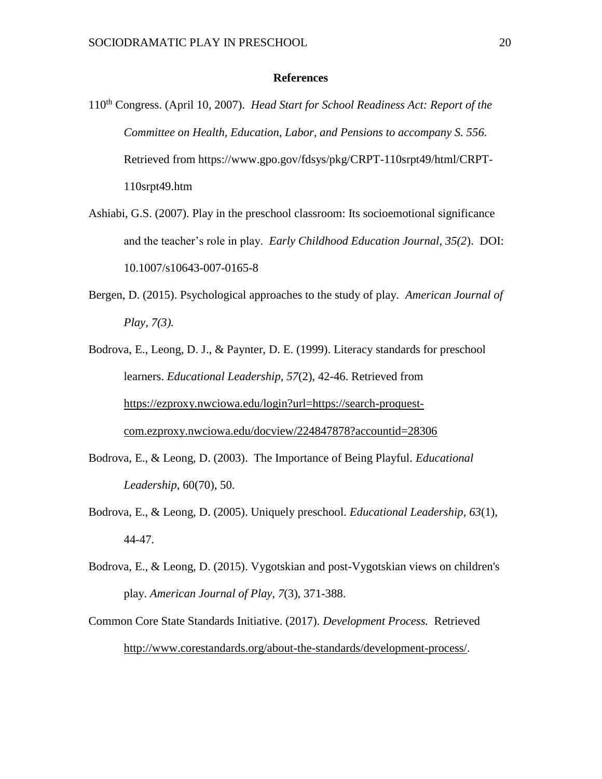# **References**

- 110th Congress. (April 10, 2007). *Head Start for School Readiness Act: Report of the Committee on Health, Education, Labor, and Pensions to accompany S. 556.* Retrieved from https://www.gpo.gov/fdsys/pkg/CRPT-110srpt49/html/CRPT-110srpt49.htm
- Ashiabi, G.S. (2007). Play in the preschool classroom: Its socioemotional significance and the teacher's role in play. *Early Childhood Education Journal, 35(2*). DOI: 10.1007/s10643-007-0165-8
- Bergen, D. (2015). Psychological approaches to the study of play. *American Journal of Play, 7(3).*
- Bodrova, E., Leong, D. J., & Paynter, D. E. (1999). Literacy standards for preschool learners. *Educational Leadership, 57*(2), 42-46. Retrieved from [https://ezproxy.nwciowa.edu/login?url=https://search-proquest](https://ezproxy.nwciowa.edu/login?url=https://search-proquest-com.ezproxy.nwciowa.edu/docview/224847878?accountid=28306)[com.ezproxy.nwciowa.edu/docview/224847878?accountid=28306](https://ezproxy.nwciowa.edu/login?url=https://search-proquest-com.ezproxy.nwciowa.edu/docview/224847878?accountid=28306)
- Bodrova, E., & Leong, D. (2003). The Importance of Being Playful. *Educational Leadership*, 60(70), 50.
- Bodrova, E., & Leong, D. (2005). Uniquely preschool. *Educational Leadership, 63*(1), 44-47.
- Bodrova, E., & Leong, D. (2015). Vygotskian and post-Vygotskian views on children's play. *American Journal of Play, 7*(3), 371-388.
- Common Core State Standards Initiative. (2017). *Development Process.* Retrieved [http://www.corestandards.org/about-the-standards/development-process/.](http://www.corestandards.org/about-the-standards/development-process/)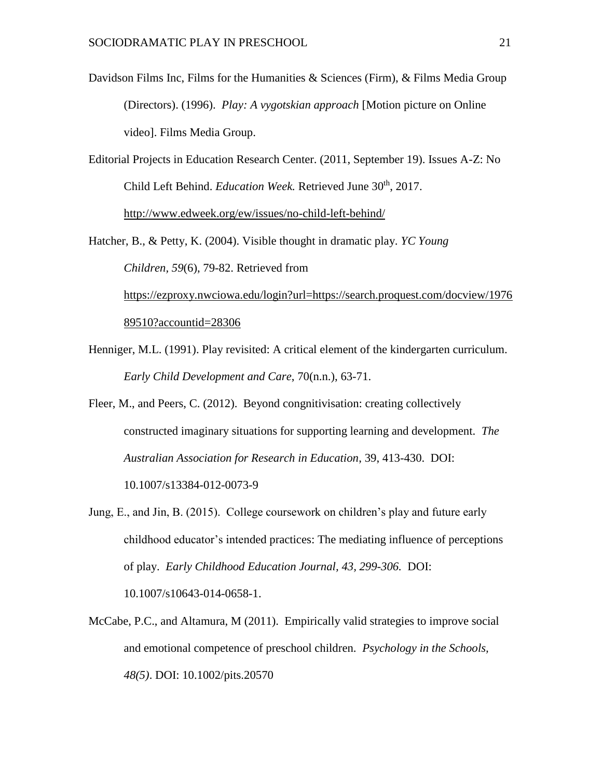- Davidson Films Inc, Films for the Humanities & Sciences (Firm), & Films Media Group (Directors). (1996). *Play: A vygotskian approach* [Motion picture on Online video]. Films Media Group.
- Editorial Projects in Education Research Center. (2011, September 19). Issues A-Z: No Child Left Behind. *Education Week.* Retrieved June 30th, 2017. <http://www.edweek.org/ew/issues/no-child-left-behind/>

Hatcher, B., & Petty, K. (2004). Visible thought in dramatic play. *YC Young Children, 59*(6), 79-82. Retrieved from [https://ezproxy.nwciowa.edu/login?url=https://search.proquest.com/docview/1976](https://ezproxy.nwciowa.edu/login?url=https://search.proquest.com/docview/197689510?accountid=28306) [89510?accountid=28306](https://ezproxy.nwciowa.edu/login?url=https://search.proquest.com/docview/197689510?accountid=28306)

- Henniger, M.L. (1991). Play revisited: A critical element of the kindergarten curriculum. *Early Child Development and Care*, 70(n.n.), 63-71.
- Fleer, M., and Peers, C. (2012). Beyond congnitivisation: creating collectively constructed imaginary situations for supporting learning and development. *The Australian Association for Research in Education*, 39, 413-430. DOI: 10.1007/s13384-012-0073-9
- Jung, E., and Jin, B. (2015). College coursework on children's play and future early childhood educator's intended practices: The mediating influence of perceptions of play. *Early Childhood Education Journal, 43, 299-306.* DOI: 10.1007/s10643-014-0658-1.
- McCabe, P.C., and Altamura, M (2011). Empirically valid strategies to improve social and emotional competence of preschool children. *Psychology in the Schools, 48(5)*. DOI: 10.1002/pits.20570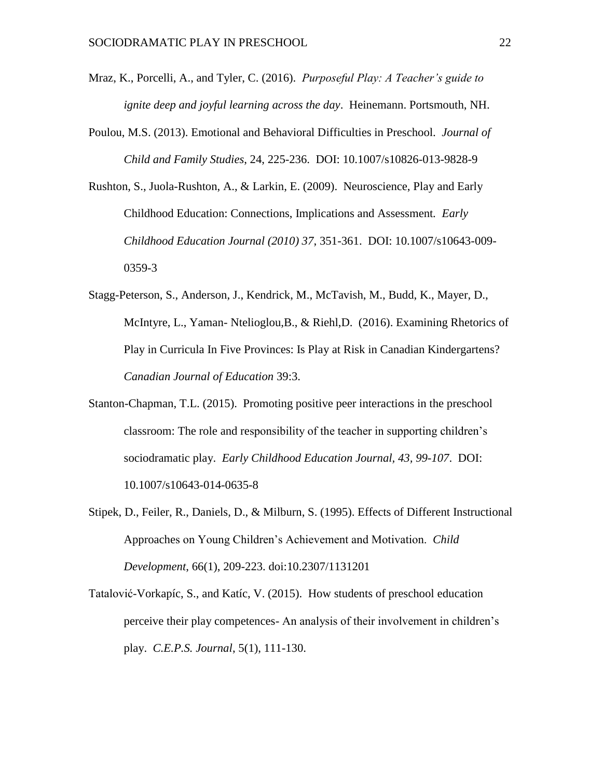- Mraz, K., Porcelli, A., and Tyler, C. (2016). *Purposeful Play: A Teacher's guide to ignite deep and joyful learning across the day*. Heinemann. Portsmouth, NH.
- Poulou, M.S. (2013). Emotional and Behavioral Difficulties in Preschool. *Journal of Child and Family Studies*, 24, 225-236. DOI: 10.1007/s10826-013-9828-9
- Rushton, S., Juola-Rushton, A., & Larkin, E. (2009). Neuroscience, Play and Early Childhood Education: Connections, Implications and Assessment*. Early Childhood Education Journal (2010) 37*, 351-361. DOI: 10.1007/s10643-009- 0359-3
- Stagg-Peterson, S., Anderson, J., Kendrick, M., McTavish, M., Budd, K., Mayer, D., McIntyre, L., Yaman- Ntelioglou,B., & Riehl,D. (2016). Examining Rhetorics of Play in Curricula In Five Provinces: Is Play at Risk in Canadian Kindergartens? *Canadian Journal of Education* 39:3.
- Stanton-Chapman, T.L. (2015). Promoting positive peer interactions in the preschool classroom: The role and responsibility of the teacher in supporting children's sociodramatic play. *Early Childhood Education Journal, 43, 99-107*. DOI: 10.1007/s10643-014-0635-8
- Stipek, D., Feiler, R., Daniels, D., & Milburn, S. (1995). Effects of Different Instructional Approaches on Young Children's Achievement and Motivation. *Child Development*, 66(1), 209-223. doi:10.2307/1131201
- Tatalović-Vorkapíc, S., and Katíc, V. (2015). How students of preschool education perceive their play competences- An analysis of their involvement in children's play. *C.E.P.S. Journal*, 5(1), 111-130.